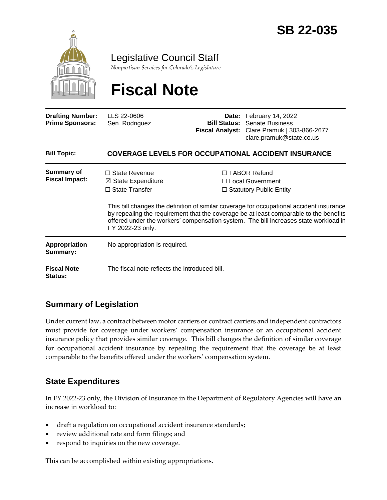

Legislative Council Staff

*Nonpartisan Services for Colorado's Legislature*

# **Fiscal Note**

| <b>Drafting Number:</b><br><b>Prime Sponsors:</b> | LLS 22-0606<br>Sen. Rodriguez                                                                      |  | Date: February 14, 2022<br><b>Bill Status:</b> Senate Business<br>Fiscal Analyst: Clare Pramuk   303-866-2677<br>clare.pramuk@state.co.us                                                                                                                                                                                                                     |  |
|---------------------------------------------------|----------------------------------------------------------------------------------------------------|--|---------------------------------------------------------------------------------------------------------------------------------------------------------------------------------------------------------------------------------------------------------------------------------------------------------------------------------------------------------------|--|
| <b>Bill Topic:</b>                                | <b>COVERAGE LEVELS FOR OCCUPATIONAL ACCIDENT INSURANCE</b>                                         |  |                                                                                                                                                                                                                                                                                                                                                               |  |
| <b>Summary of</b><br><b>Fiscal Impact:</b>        | $\Box$ State Revenue<br>$\boxtimes$ State Expenditure<br>$\Box$ State Transfer<br>FY 2022-23 only. |  | $\Box$ TABOR Refund<br>$\Box$ Local Government<br>$\Box$ Statutory Public Entity<br>This bill changes the definition of similar coverage for occupational accident insurance<br>by repealing the requirement that the coverage be at least comparable to the benefits<br>offered under the workers' compensation system. The bill increases state workload in |  |
| Appropriation<br>Summary:                         | No appropriation is required.                                                                      |  |                                                                                                                                                                                                                                                                                                                                                               |  |
| <b>Fiscal Note</b><br><b>Status:</b>              | The fiscal note reflects the introduced bill.                                                      |  |                                                                                                                                                                                                                                                                                                                                                               |  |

## **Summary of Legislation**

Under current law, a contract between motor carriers or contract carriers and independent contractors must provide for coverage under workers' compensation insurance or an occupational accident insurance policy that provides similar coverage. This bill changes the definition of similar coverage for occupational accident insurance by repealing the requirement that the coverage be at least comparable to the benefits offered under the workers' compensation system.

### **State Expenditures**

In FY 2022-23 only, the Division of Insurance in the Department of Regulatory Agencies will have an increase in workload to:

- draft a regulation on occupational accident insurance standards;
- review additional rate and form filings; and
- respond to inquiries on the new coverage.

This can be accomplished within existing appropriations.